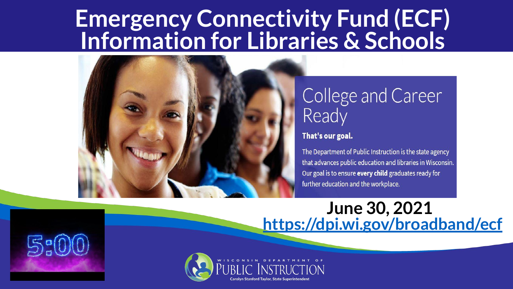#### **Emergency Connectivity Fund (ECF) Information for Libraries & Schools**



#### College and Career Ready

#### That's our goal.

The Department of Public Instruction is the state agency that advances public education and libraries in Wisconsin. Our goal is to ensure every child graduates ready for further education and the workplace.

#### **June 30, 2021 <https://dpi.wi.gov/broadband/ecf>**

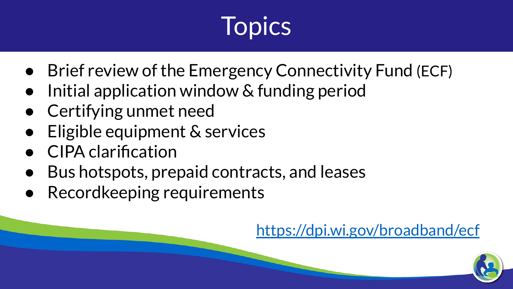## **Topics**

- Brief review of the Emergency Connectivity Fund (ECF)
- Initial application window & funding period
- Certifying unmet need
- Eligible equipment & services
- CIPA clarification
- Bus hotspots, prepaid contracts, and leases
- Recordkeeping requirements

<https://dpi.wi.gov/broadband/ecf>

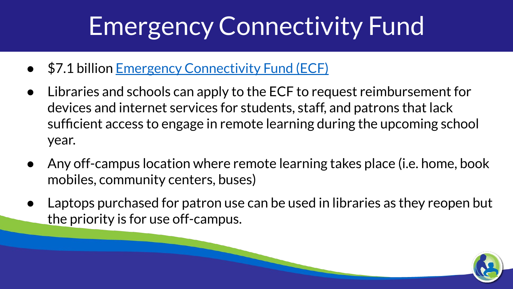### Emergency Connectivity Fund

- \$7.1 billion [Emergency Connectivity Fund \(ECF\)](https://docs.fcc.gov/public/attachments/FCC-21-58A1.pdf)
- Libraries and schools can apply to the ECF to request reimbursement for devices and internet services for students, staff, and patrons that lack sufficient access to engage in remote learning during the upcoming school year.
- Any off-campus location where remote learning takes place (i.e. home, book mobiles, community centers, buses)
- Laptops purchased for patron use can be used in libraries as they reopen but the priority is for use off-campus.

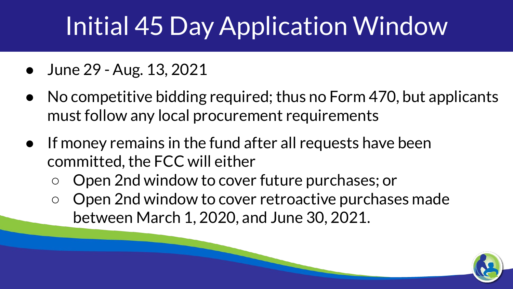## Initial 45 Day Application Window

- June 29 Aug. 13, 2021
- No competitive bidding required; thus no Form 470, but applicants must follow any local procurement requirements
- If money remains in the fund after all requests have been committed, the FCC will either
	- Open 2nd window to cover future purchases; or
	- Open 2nd window to cover retroactive purchases made between March 1, 2020, and June 30, 2021.

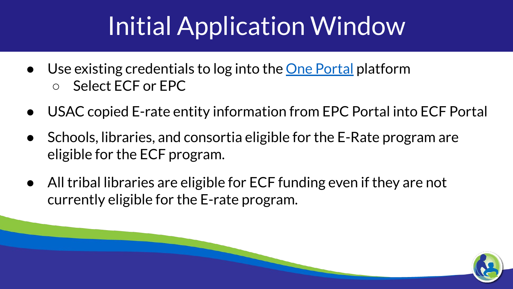#### Initial Application Window

- Use existing credentials to log into the [One Portal](https://forms.universalservice.org/portal/login) platform ○ Select ECF or EPC
- USAC copied E-rate entity information from EPC Portal into ECF Portal
- Schools, libraries, and consortia eligible for the E-Rate program are eligible for the ECF program.
- All tribal libraries are eligible for ECF funding even if they are not currently eligible for the E-rate program.

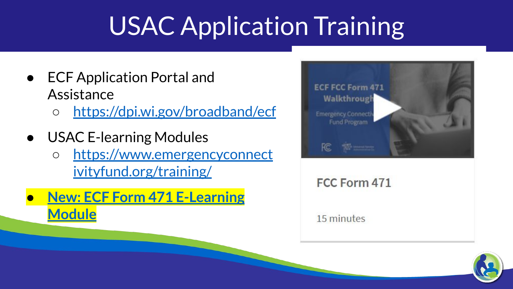### USAC Application Training

- ECF Application Portal and **Assistance** 
	- <https://dpi.wi.gov/broadband/ecf>
- USAC E-learning Modules ○ [https://www.emergencyconnect](https://www.emergencyconnectivityfund.org/training/) [ivityfund.org/training/](https://www.emergencyconnectivityfund.org/training/)
- **● [New: ECF Form 471 E-Learning](https://www.emergencyconnectivityfund.org/training/e-learning-modules/) [Module](https://www.emergencyconnectivityfund.org/training/e-learning-modules/)**



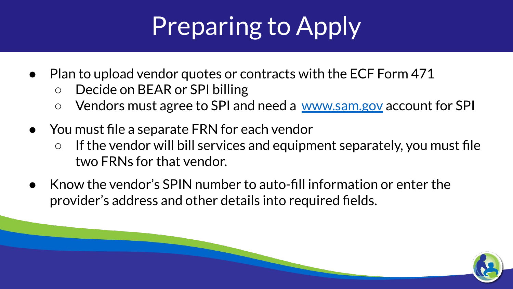# Preparing to Apply

- Plan to upload vendor quotes or contracts with the ECF Form 471
	- Decide on BEAR or SPI billing
	- Vendors must agree to SPI and need a [www.sam.gov](http://www.sam.gov) account for SPI
- You must file a separate FRN for each vendor
	- If the vendor will bill services and equipment separately, you must file two FRNs for that vendor.
- Know the vendor's SPIN number to auto-fill information or enter the provider's address and other details into required fields.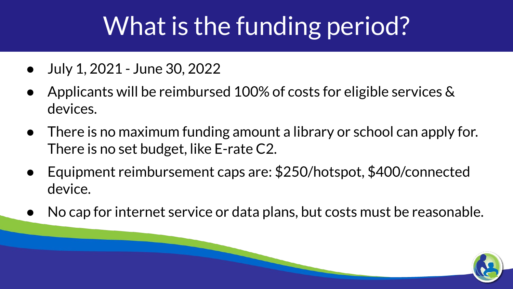### What is the funding period?

- July 1, 2021 June 30, 2022
- Applicants will be reimbursed 100% of costs for eligible services  $\&$ devices.
- There is no maximum funding amount a library or school can apply for. There is no set budget, like E-rate C2.
- Equipment reimbursement caps are: \$250/hotspot, \$400/connected device.
- No cap for internet service or data plans, but costs must be reasonable.

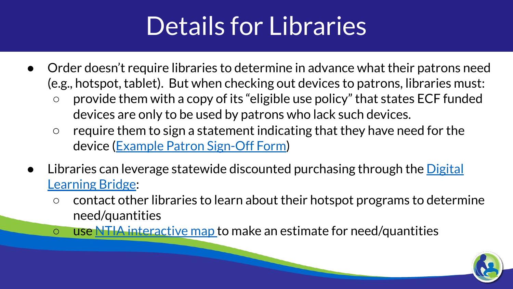#### Details for Libraries

- Order doesn't require libraries to determine in advance what their patrons need (e.g., hotspot, tablet). But when checking out devices to patrons, libraries must:
	- provide them with a copy of its "eligible use policy" that states ECF funded devices are only to be used by patrons who lack such devices.
	- $\circ$  require them to sign a statement indicating that they have need for the device [\(Example Patron Sign-Off Form\)](https://docs.google.com/presentation/d/1oeV2ygZYEX-nF9omgybRk_0_FPqK0CeupJ9OpKDkQxY/edit#slide=id.gb7fc4a12ec_0_0)
- Libraries can leverage statewide discounted purchasing through the [Digital](https://cesapurchasing.org/digital) [Learning Bridge:](https://cesapurchasing.org/digital)
	- $\circ$  contact other libraries to learn about their hotspot programs to determine need/quantities
	- use [NTIA interactive map t](https://broadbandusa.maps.arcgis.com/apps/webappviewer/index.html?id=ba2dcd585f5e43cba41b7c1ebf2a43d0)o make an estimate for need/quantities

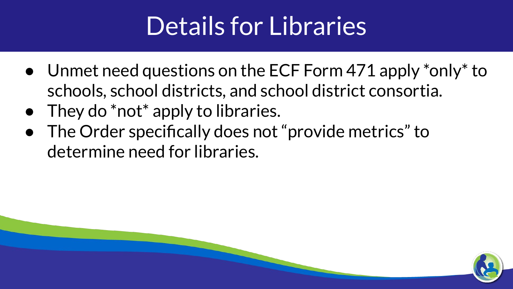#### Details for Libraries

- Unmet need questions on the ECF Form 471 apply \*only\* to schools, school districts, and school district consortia.
- They do \*not\* apply to libraries.
- The Order specifically does not "provide metrics" to determine need for libraries.

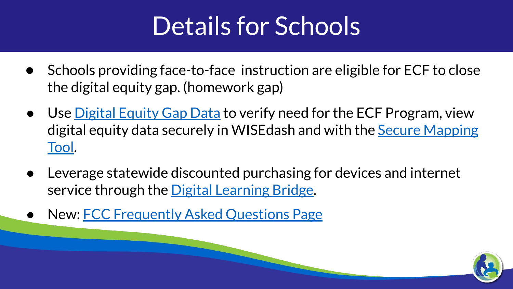#### Details for Schools

- Schools providing face-to-face instruction are eligible for ECF to close the digital equity gap. (homework gap)
- Use <u>Digital Equity Gap Data</u> to verify need for the ECF Program, view digital equity data securely in WISEdash and with the [Secure Mapping](https://dpi.wi.gov/broadband/digital-learning-bridge-map) [Tool.](https://dpi.wi.gov/broadband/digital-learning-bridge-map)
- Leverage statewide discounted purchasing for devices and internet service through the [Digital Learning Bridge.](https://cesapurchasing.org/digital)
- New: [FCC Frequently Asked Questions Page](https://www.fcc.gov/emergency-connectivity-fund-faqs)

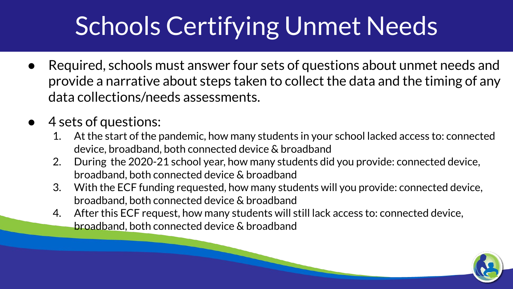### Schools Certifying Unmet Needs

- Required, schools must answer four sets of questions about unmet needs and provide a narrative about steps taken to collect the data and the timing of any data collections/needs assessments.
- 4 sets of questions:
	- 1. At the start of the pandemic, how many students in your school lacked access to: connected device, broadband, both connected device & broadband
	- 2. During the 2020-21 school year, how many students did you provide: connected device, broadband, both connected device & broadband
	- 3. With the ECF funding requested, how many students will you provide: connected device, broadband, both connected device & broadband
	- 4. After this ECF request, how many students will still lack access to: connected device, broadband, both connected device & broadband

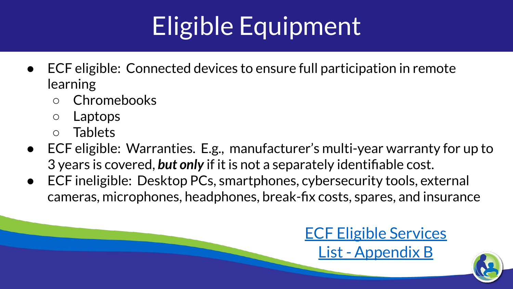# Eligible Equipment

- ECF eligible: Connected devices to ensure full participation in remote learning
	- Chromebooks
	- Laptops
	- Tablets
- ECF eligible: Warranties. E.g., manufacturer's multi-year warranty for up to 3 years is covered, *but only* if it is not a separately identifiable cost.
- ECF ineligible: Desktop PCs, smartphones, cybersecurity tools, external cameras, microphones, headphones, break-fix costs, spares, and insurance

#### [ECF Eligible Services](https://drive.google.com/file/d/14wgQKD9vS1epws7pb1MmGvNanGQHtqUv/view?usp=sharing) [List - Appendix B](https://drive.google.com/file/d/14wgQKD9vS1epws7pb1MmGvNanGQHtqUv/view?usp=sharing)

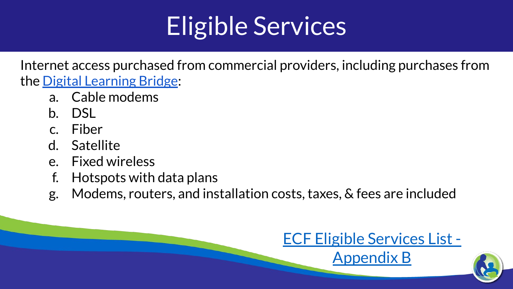#### Eligible Services

Internet access purchased from commercial providers, including purchases from the [Digital Learning Bridge:](https://cesapurchasing.org/digital)

- a. Cable modems
- b. DSL
- c. Fiber
- d. Satellite
- e. Fixed wireless
- f. Hotspots with data plans
- g. Modems, routers, and installation costs, taxes, & fees are included



[Appendix B](https://drive.google.com/file/d/14wgQKD9vS1epws7pb1MmGvNanGQHtqUv/view?usp=sharing)

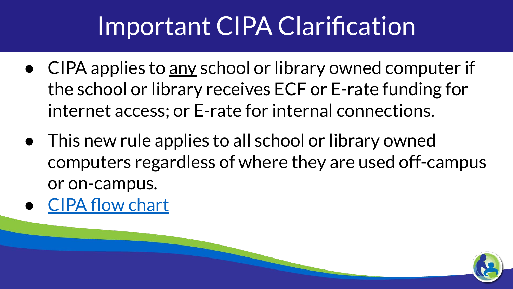#### Important CIPA Clarification

- CIPA applies to any school or library owned computer if the school or library receives ECF or E-rate funding for internet access; or E-rate for internal connections.
- This new rule applies to all school or library owned computers regardless of where they are used off-campus or on-campus.
- [CIPA flow chart](https://drive.google.com/file/d/1G82oX1ReoIZwfqE5Ze7Mj05j-jmbRjVv/view?usp=sharing)

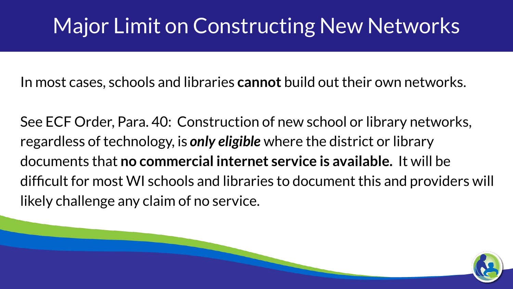#### Major Limit on Constructing New Networks

In most cases, schools and libraries **cannot** build out their own networks.

See ECF Order, Para. 40: Construction of new school or library networks, regardless of technology, is *only eligible* where the district or library documents that **no commercial internet service is available.** It will be difficult for most WI schools and libraries to document this and providers will likely challenge any claim of no service.

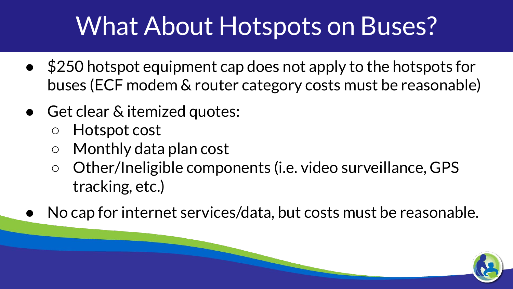#### What About Hotspots on Buses?

- \$250 hotspot equipment cap does not apply to the hotspots for buses (ECF modem & router category costs must be reasonable)
- Get clear & itemized quotes:
	- Hotspot cost
	- Monthly data plan cost
	- Other/Ineligible components (i.e. video surveillance, GPS tracking, etc.)
- No cap for internet services/data, but costs must be reasonable.

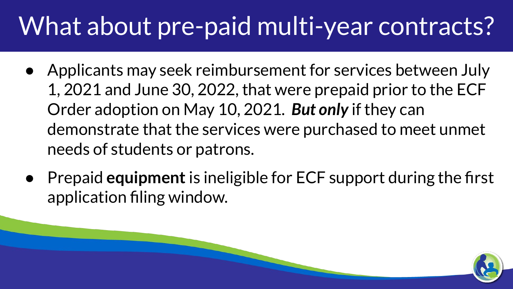#### What about pre-paid multi-year contracts?

- Applicants may seek reimbursement for services between July 1, 2021 and June 30, 2022, that were prepaid prior to the ECF Order adoption on May 10, 2021. *But only* if they can demonstrate that the services were purchased to meet unmet needs of students or patrons.
- Prepaid **equipment** is ineligible for ECF support during the first application filing window.

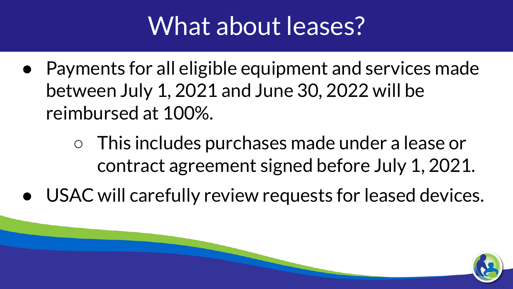#### What about leases?

- Payments for all eligible equipment and services made between July 1, 2021 and June 30, 2022 will be reimbursed at 100%.
	- This includes purchases made under a lease or contract agreement signed before July 1, 2021.
- USAC will carefully review requests for leased devices.

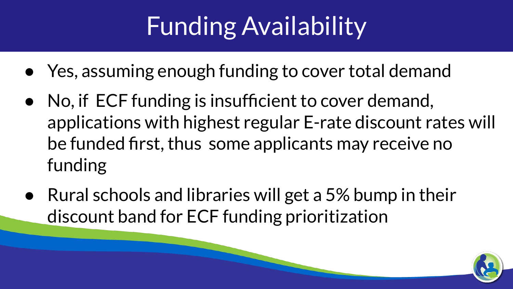## Funding Availability

- Yes, assuming enough funding to cover total demand
- No, if ECF funding is insufficient to cover demand, applications with highest regular E-rate discount rates will be funded first, thus some applicants may receive no funding
- Rural schools and libraries will get a 5% bump in their discount band for ECF funding prioritization

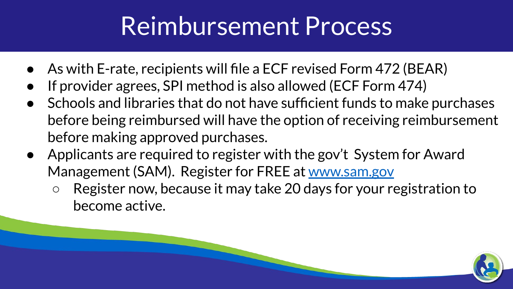#### Reimbursement Process

- As with E-rate, recipients will file a ECF revised Form 472 (BEAR)
- If provider agrees, SPI method is also allowed (ECF Form 474)
- Schools and libraries that do not have sufficient funds to make purchases before being reimbursed will have the option of receiving reimbursement before making approved purchases.
- Applicants are required to register with the gov't System for Award Management (SAM). Register for FREE at [www.sam.gov](http://www.sam.gov)
	- Register now, because it may take 20 days for your registration to become active.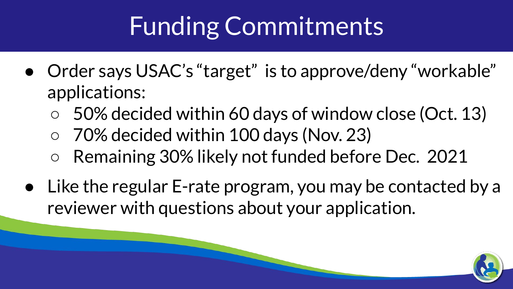## Funding Commitments

- Order says USAC's "target" is to approve/deny "workable" applications:
	- 50% decided within 60 days of window close (Oct. 13)
	- 70% decided within 100 days (Nov. 23)
	- Remaining 30% likely not funded before Dec. 2021
- Like the regular E-rate program, you may be contacted by a reviewer with questions about your application.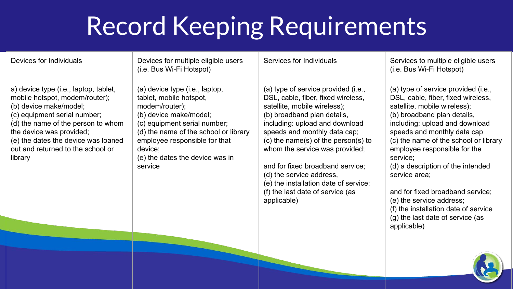### Record Keeping Requirements

| (a) type of service provided (i.e.,<br>(a) type of service provided (i.e.,<br>a) device type (i.e., laptop, tablet,<br>(a) device type (i.e., laptop,<br>mobile hotspot, modem/router);<br>DSL, cable, fiber, fixed wireless,<br>DSL, cable, fiber, fixed wireless,<br>tablet, mobile hotspot,<br>(b) device make/model;<br>modem/router);<br>satellite, mobile wireless);<br>satellite, mobile wireless);<br>(c) equipment serial number;<br>(b) device make/model;<br>(b) broadband plan details,<br>(b) broadband plan details,<br>including: upload and download<br>including: upload and download<br>(d) the name of the person to whom<br>(c) equipment serial number;<br>the device was provided;<br>(d) the name of the school or library<br>speeds and monthly data cap;<br>speeds and monthly data cap<br>(e) the dates the device was loaned<br>employee responsible for that<br>$(c)$ the name(s) of the person(s) to<br>out and returned to the school or<br>whom the service was provided;<br>employee responsible for the<br>device;<br>(e) the dates the device was in<br>service;<br>library<br>and for fixed broadband service;<br>(d) a description of the intended<br>service<br>(d) the service address,<br>service area:<br>(e) the installation date of service:<br>(f) the last date of service (as<br>and for fixed broadband service;<br>applicable)<br>(e) the service address;<br>(f) the installation date of service<br>(g) the last date of service (as | Devices for Individuals | Devices for multiple eligible users<br>(i.e. Bus Wi-Fi Hotspot) | Services for Individuals | Services to multiple eligible users<br>(i.e. Bus Wi-Fi Hotspot) |
|----------------------------------------------------------------------------------------------------------------------------------------------------------------------------------------------------------------------------------------------------------------------------------------------------------------------------------------------------------------------------------------------------------------------------------------------------------------------------------------------------------------------------------------------------------------------------------------------------------------------------------------------------------------------------------------------------------------------------------------------------------------------------------------------------------------------------------------------------------------------------------------------------------------------------------------------------------------------------------------------------------------------------------------------------------------------------------------------------------------------------------------------------------------------------------------------------------------------------------------------------------------------------------------------------------------------------------------------------------------------------------------------------------------------------------------------------------------------------------------|-------------------------|-----------------------------------------------------------------|--------------------------|-----------------------------------------------------------------|
|                                                                                                                                                                                                                                                                                                                                                                                                                                                                                                                                                                                                                                                                                                                                                                                                                                                                                                                                                                                                                                                                                                                                                                                                                                                                                                                                                                                                                                                                                        |                         |                                                                 |                          | (c) the name of the school or library<br>applicable)            |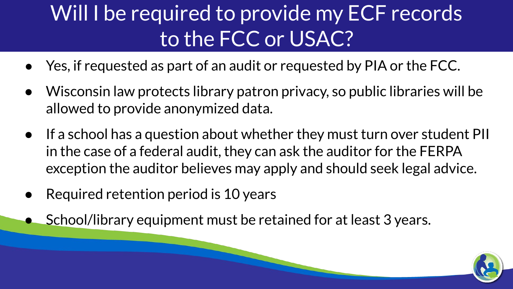#### Will I be required to provide my ECF records to the FCC or USAC?

- Yes, if requested as part of an audit or requested by PIA or the FCC.
- Wisconsin law protects library patron privacy, so public libraries will be allowed to provide anonymized data.
- If a school has a question about whether they must turn over student PII in the case of a federal audit, they can ask the auditor for the FERPA exception the auditor believes may apply and should seek legal advice.
- Required retention period is 10 years
- School/library equipment must be retained for at least 3 years.